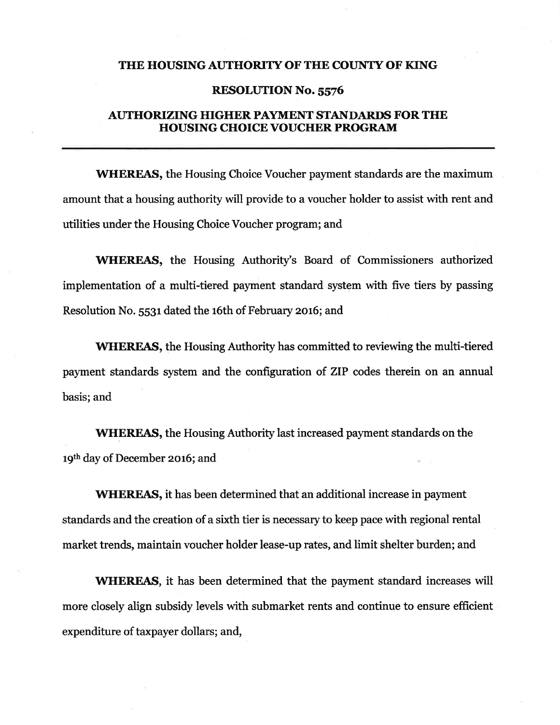### THE HOUSING AUTHORITY OF THE COUNTY OF KING

#### **RESOLUTION No. 5576**

## **AUTHORIZING HIGHER PAYMENT STANDARDS FOR THE HOUSING CHOICE VOUCHER PROGRAM**

**WHEREAS, the Housing Choice Voucher payment standards are the maximum** amount that a housing authority will provide to a voucher holder to assist with rent and utilities under the Housing Choice Voucher program; and

**WHEREAS**, the Housing Authority's Board of Commissioners authorized implementation of a multi-tiered payment standard system with five tiers by passing Resolution No. 5531 dated the 16th of February 2016; and

**WHEREAS**, the Housing Authority has committed to reviewing the multi-tiered payment standards system and the configuration of ZIP codes therein on an annual basis; and

**WHEREAS,** the Housing Authority last increased payment standards on the 19th day of December 2016; and

**WHEREAS**, it has been determined that an additional increase in payment standards and the creation of a sixth tier is necessary to keep pace with regional rental market trends, maintain voucher holder lease-up rates, and limit shelter burden; and

**WHEREAS**, it has been determined that the payment standard increases will more closely align subsidy levels with submarket rents and continue to ensure efficient expenditure of taxpayer dollars; and,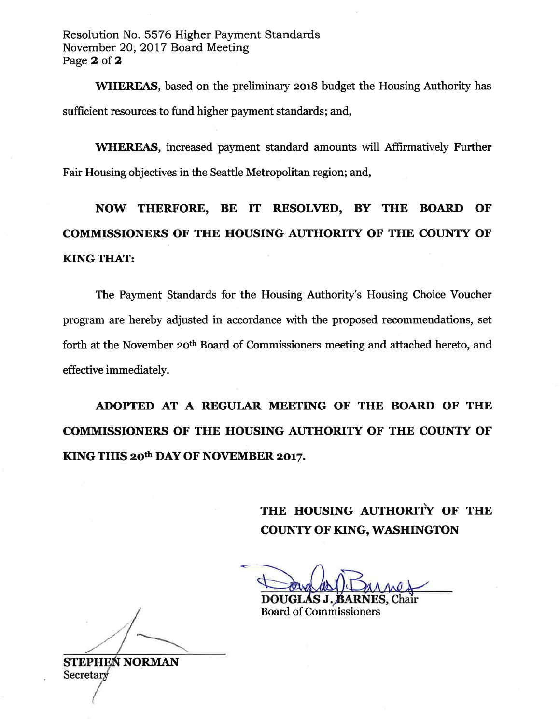Resolution No. 5576 Higher Payment Standards November 20, 2017 Board Meeting Page 2 of 2

**WHEREAS**, based on the preliminary 2018 budget the Housing Authority has sufficient resources to fund higher payment standards; and,

**WHEREAS**, increased payment standard amounts will Affirmatively Further Fair Housing objectives in the Seattle Metropolitan region; and,

NOW THERFORE, BE IT RESOLVED, BY THE BOARD OF **COMMISSIONERS OF THE HOUSING AUTHORITY OF THE COUNTY OF KING THAT:** 

The Payment Standards for the Housing Authority's Housing Choice Voucher program are hereby adjusted in accordance with the proposed recommendations, set forth at the November 20<sup>th</sup> Board of Commissioners meeting and attached hereto, and effective immediately.

ADOPTED AT A REGULAR MEETING OF THE BOARD OF THE **COMMISSIONERS OF THE HOUSING AUTHORITY OF THE COUNTY OF** KING THIS 20th DAY OF NOVEMBER 2017.

> THE HOUSING AUTHORITY OF THE **COUNTY OF KING, WASHINGTON**

**DOUGLAS J. BAF** 

**Board of Commissioners** 

**STEPHEN NORMAN** Secretary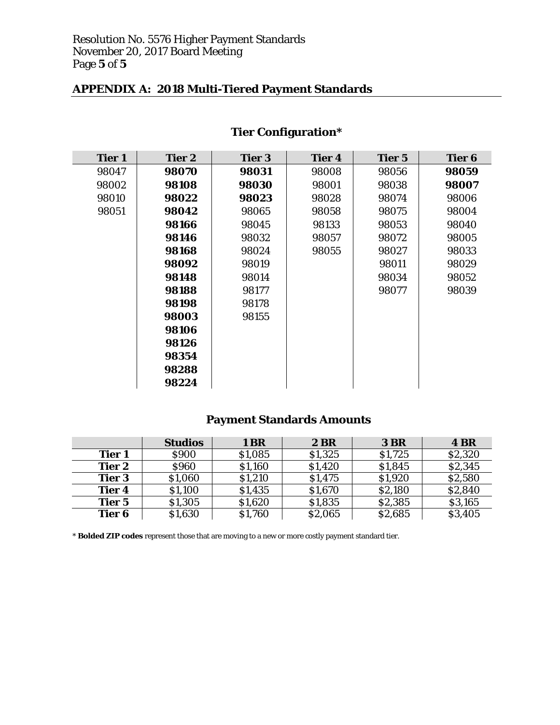## **APPENDIX A: 2018 Multi-Tiered Payment Standards**

| <b>Tier 1</b> | <b>Tier 2</b> | <b>Tier 3</b> | <b>Tier 4</b> | <b>Tier 5</b> | <b>Tier 6</b> |
|---------------|---------------|---------------|---------------|---------------|---------------|
| 98047         | 98070         | 98031         | 98008         | 98056         | 98059         |
| 98002         | 98108         | 98030         | 98001         | 98038         | 98007         |
| 98010         | 98022         | 98023         | 98028         | 98074         | 98006         |
| 98051         | 98042         | 98065         | 98058         | 98075         | 98004         |
|               | 98166         | 98045         | 98133         | 98053         | 98040         |
|               | 98146         | 98032         | 98057         | 98072         | 98005         |
|               | 98168         | 98024         | 98055         | 98027         | 98033         |
|               | 98092         | 98019         |               | 98011         | 98029         |
|               | 98148         | 98014         |               | 98034         | 98052         |
|               | 98188         | 98177         |               | 98077         | 98039         |
|               | 98198         | 98178         |               |               |               |
|               | 98003         | 98155         |               |               |               |
|               | 98106         |               |               |               |               |
|               | 98126         |               |               |               |               |
|               | 98354         |               |               |               |               |
|               | 98288         |               |               |               |               |
|               | 98224         |               |               |               |               |

# **Tier Configuration\***

# **Payment Standards Amounts**

|               | <b>Studios</b> | 1 BR    | <b>2 BR</b> | <b>3 BR</b> | <b>4 BR</b> |
|---------------|----------------|---------|-------------|-------------|-------------|
| <b>Tier 1</b> | \$900          | \$1,085 | \$1,325     | \$1,725     | \$2,320     |
| <b>Tier 2</b> | <b>\$960</b>   | \$1,160 | \$1,420     | \$1,845     | \$2,345     |
| <b>Tier 3</b> | \$1,060        | \$1,210 | \$1,475     | \$1,920     | \$2,580     |
| <b>Tier 4</b> | \$1,100        | \$1,435 | \$1,670     | \$2,180     | \$2,840     |
| <b>Tier 5</b> | \$1,305        | \$1,620 | \$1,835     | \$2,385     | \$3,165     |
| Tier 6        | \$1,630        | \$1,760 | \$2,065     | \$2,685     | \$3,405     |

\* **Bolded ZIP codes** represent those that are moving to a new or more costly payment standard tier.